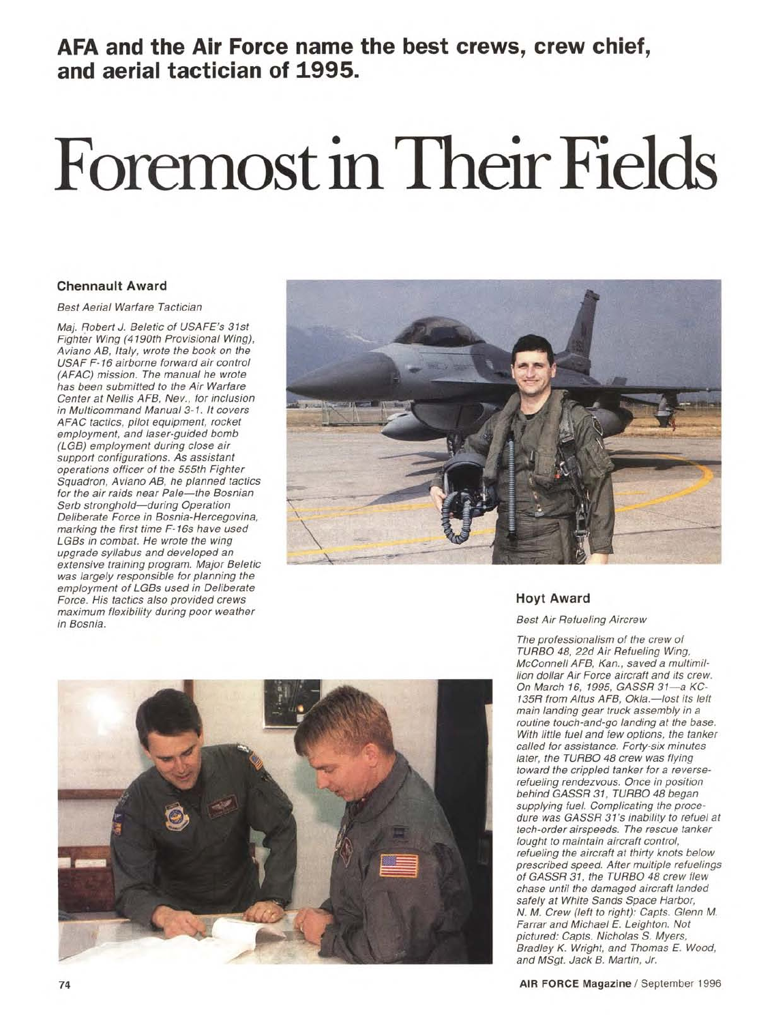# **AFA and the Air Force name the best crews, crew chief, and aerial tactician of 1995.**

# **Foremost in Their Fields**

### **Chennault Award**

Best Aerial Warfare Tactician

Maj. Robert J. Beletic of USAFE's 31st Fighter Wing (4190th Provisional Wing), Aviano AB, Italy, wrote the book on the USAF F-16 airborne forward air control (AFAC) mission. The manual he wrote has been submitted to the Air Warfare Center at Nellis AFB, Nev., for inclusion in Multicommand Manual 3-1. It covers AFAC tactics, pilot equipment, rocket employment, and laser-guided bomb (LGB) employment during close air support configurations. As assistant operations officer of the 555th Fighter Squadron, Aviano AB, he planned tactics for the air raids near Pale—the Bosnian Serb stronghold—during Operation Deliberate Force in Bosnia-Hercegovina, marking the first time F-16s have used LGBs in combat. He wrote the wing upgrade syllabus and developed an extensive training program. Major Beletic was largely responsible for planning the employment of LGBs used in Deliberate Force. His tactics also provided crews maximum flexibility during poor weather in Bosnia.





## **Hoyt Award**

Best Air Refueling Aircrew

The professionalism of the crew of TURBO 48, 22d Air Refueling Wing, McConnell AFB, Kan., saved a multimillion dollar Air Force aircraft and its crew. On March 16, 1995, GASSR 31—a KC-135R from Altus AFB, Okla.—lost its left main landing gear truck assembly in a routine touch-and-go landing at the base. With little fuel and few options, the tanker called for assistance. Forty-six minutes later, the TURBO 48 crew was flying toward the crippled tanker for a reverserefueling rendezvous. Once in position behind GASSR 31, TURBO 48 began supplying fuel. Complicating the procedure was GASSR 31's inability to refuel at tech-order airspeeds. The rescue tanker fought to maintain aircraft control, refueling the aircraft at thirty knots below prescribed speed. After multiple refuelings of GASSR 31, the TURBO 48 crew flew chase until the damaged aircraft landed safely at White Sands Space Harbor, N. M. Crew (left to right): Capts. Glenn M. Farrar and Michael E. Leighton. Not pictured: Capts. Nicholas S. Myers, Bradley K. Wright, and Thomas E. Wood, and MSgt. Jack B. Martin, Jr.

**74 AIR FORCE Magazine /** September 1996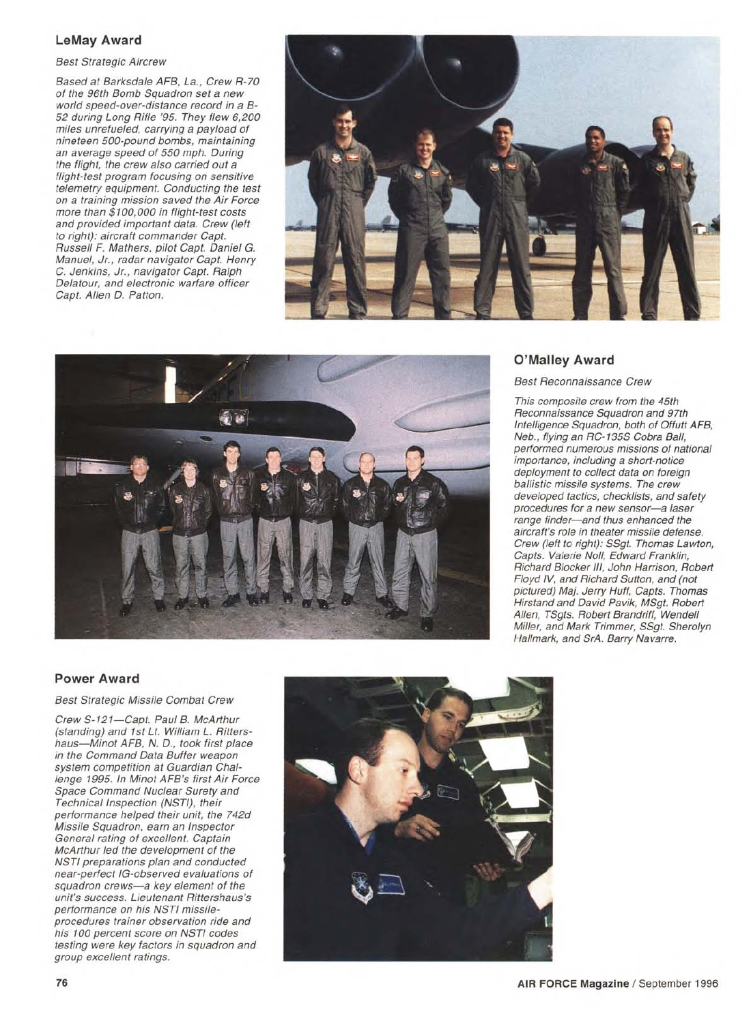#### **LeMay Award**

Best Strategic Aircrew

Based at Barksdale AFB, La., Crew R-70 of the 96th Bomb Squadron set a new world speed-over-distance record in a B-52 during Long Rifle '95. They flew 6,200 miles unrefueled, carrying a payload of nineteen 500-pound bombs, maintaining an average speed of 550 mph. During the flight, the crew also carried out a flight-test program focusing on sensitive telemetry equipment. Conducting the test on a training mission saved the Air Force more than \$100,000 in flight-test costs and provided important data. Crew (left to right): aircraft commander Capt. Russell F. Mathers, pilot Capt. Daniel G. Manuel, Jr., radar navigator Capt. Henry C. Jenkins, Jr., navigator Capt. Ralph Delatour, and electronic warfare officer Capt. Allen D. Patton.





#### **O'Malley Award**

Best Reconnaissance Crew

This composite crew from the 45th Reconnaissance Squadron and 97th Intelligence Squadron, both of Offutt AFB, Neb., flying an RC-135S Cobra Ball, performed numerous missions of national importance, including a short-notice deployment to collect data on foreign ballistic missile systems. The crew developed tactics, checklists, and safety procedures for a new sensor—a laser range finder—and thus enhanced the aircraft's role in theater missile defense. Crew (left to right): SSgt. Thomas Lawton, Capts. Valerie Noll, Edward Franklin, Richard Blocker III, John Harrison, Robert Floyd IV, and Richard Sutton, and (not pictured) Maj. Jerry Huff, Capts. Thomas Hirstand and David Pavik, MSgt. Robert Allen, TSgts. Robert Brandriff, Wendell Miller, and Mark Trimmer, SSgt. Sherolyn Hallmark, and SrA. Barry Navarre.

#### **Power Award**

Best Strategic Missile Combat Crew

Crew S-121—Capt. Paul B. McArthur (standing) and 1st Lt. William L. Rittershaus—Minot AFB, N. D., took first place in the Command Data Buffer weapon system competition at Guardian Challenge 1995. In Minot AFB's first Air Force Space Command Nuclear Surety and Technical Inspection (NSTI), their performance helped their unit, the 742d Missile Squadron, earn an Inspector General rating of excellent. Captain McArthur led the development of the NSTI preparations plan and conducted near-perfect IG-observed evaluations of squadron crews—a key element of the unit's success. Lieutenant Rittershaus's performance on his NSTI missileprocedures trainer observation ride and his 100 percent score on NSTI codes testing were key factors in squadron and group excellent ratings.